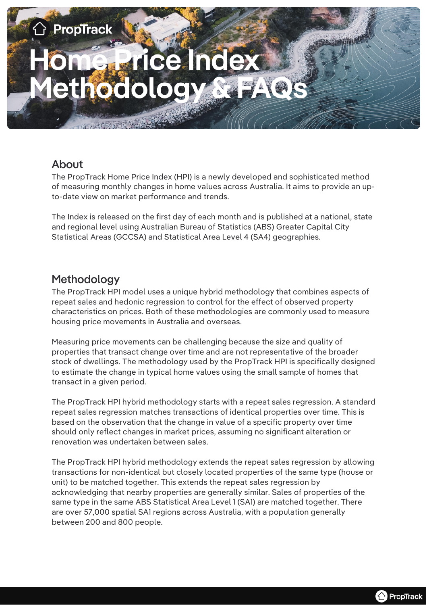

#### About

The PropTrack Home Price Index (HPI) is a newly developed and sophisticated method of measuring monthly changes in home values across Australia. It aims to provide an upto-date view on market performance and trends.

The Index is released on the first day of each month and is published at a national, state and regional level using Australian Bureau of Statistics (ABS) Greater Capital City Statistical Areas (GCCSA) and Statistical Area Level 4 (SA4) geographies.

## Methodology

The PropTrack HPI model uses a unique hybrid methodology that combines aspects of repeat sales and hedonic regression to control for the effect of observed property characteristics on prices. Both of these methodologies are commonly used to measure housing price movements in Australia and overseas.

Measuring price movements can be challenging because the size and quality of properties that transact change over time and are not representative of the broader stock of dwellings. The methodology used by the PropTrack HPI is specifically designed to estimate the change in typical home values using the small sample of homes that transact in a given period.

The PropTrack HPI hybrid methodology starts with a repeat sales regression. A standard repeat sales regression matches transactions of identical properties over time. This is based on the observation that the change in value of a specific property over time should only reflect changes in market prices, assuming no significant alteration or renovation was undertaken between sales.

The PropTrack HPI hybrid methodology extends the repeat sales regression by allowing transactions for non-identical but closely located properties of the same type (house or unit) to be matched together. This extends the repeat sales regression by acknowledging that nearby properties are generally similar. Sales of properties of the same type in the same ABS Statistical Area Level 1 (SA1) are matched together. There are over 57,000 spatial SA1 regions across Australia, with a population generally between 200 and 800 people.

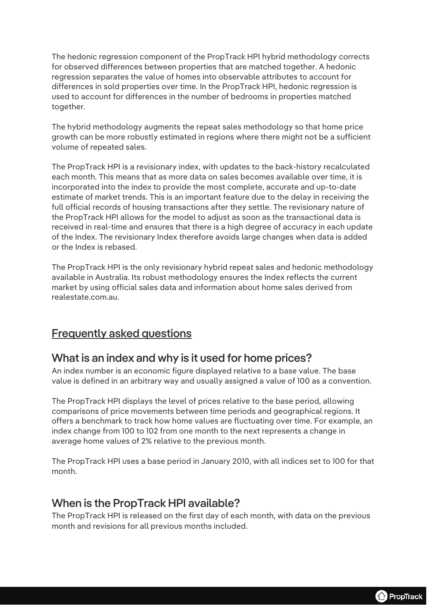The hedonic regression component of the PropTrack HPI hybrid methodology corrects for observed differences between properties that are matched together. A hedonic regression separates the value of homes into observable attributes to account for differences in sold properties over time. In the PropTrack HPI, hedonic regression is used to account for differences in the number of bedrooms in properties matched together.

The hybrid methodology augments the repeat sales methodology so that home price growth can be more robustly estimated in regions where there might not be a sufficient volume of repeated sales.

The PropTrack HPI is a revisionary index, with updates to the back-history recalculated each month. This means that as more data on sales becomes available over time, it is incorporated into the index to provide the most complete, accurate and up-to-date estimate of market trends. This is an important feature due to the delay in receiving the full official records of housing transactions after they settle. The revisionary nature of the PropTrack HPI allows for the model to adjust as soon as the transactional data is received in real-time and ensures that there is a high degree of accuracy in each update of the Index. The revisionary Index therefore avoids large changes when data is added or the Index is rebased.

The PropTrack HPI is the only revisionary hybrid repeat sales and hedonic methodology available in Australia. Its robust methodology ensures the Index reflects the current market by using official sales data and information about home sales derived from realestate.com.au.

## Frequently asked questions

## What is an index and why is it used for home prices?

An index number is an economic figure displayed relative to a base value. The base value is defined in an arbitrary way and usually assigned a value of 100 as a convention.

The PropTrack HPI displays the level of prices relative to the base period, allowing comparisons of price movements between time periods and geographical regions. It offers a benchmark to track how home values are fluctuating over time. For example, an index change from 100 to 102 from one month to the next represents a change in average home values of 2% relative to the previous month.

The PropTrack HPI uses a base period in January 2010, with all indices set to 100 for that month.

## When is the PropTrack HPI available?

The PropTrack HPI is released on the first day of each month, with data on the previous month and revisions for all previous months included.

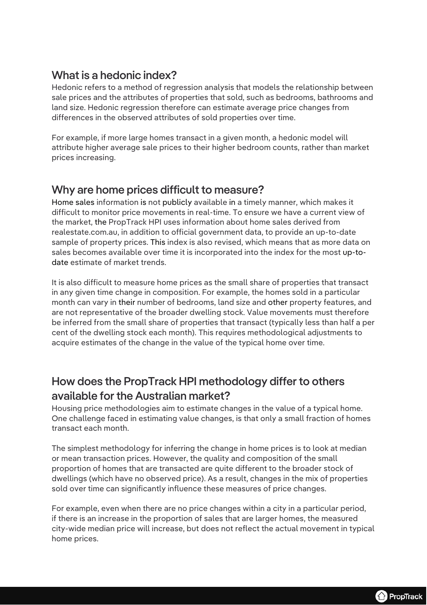# What is a hedonic index?

Hedonic refers to a method of regression analysis that models the relationship between sale prices and the attributes of properties that sold, such as bedrooms, bathrooms and land size. Hedonic regression therefore can estimate average price changes from differences in the observed attributes of sold properties over time.

For example, if more large homes transact in a given month, a hedonic model will attribute higher average sale prices to their higher bedroom counts, rather than market prices increasing.

## Why are home prices difficult to measure?

Home sales information is not publicly available in a timely manner, which makes it difficult to monitor price movements in real-time. To ensure we have a current view of the market, the PropTrack HPI uses information about home sales derived from realestate.com.au, in addition to official government data, to provide an up-to-date sample of property prices. This index is also revised, which means that as more data on sales becomes available over time it is incorporated into the index for the most up-todate estimate of market trends.

It is also difficult to measure home prices as the small share of properties that transact in any given time change in composition. For example, the homes sold in a particular month can vary in their number of bedrooms, land size and other property features, and are not representative of the broader dwelling stock. Value movements must therefore be inferred from the small share of properties that transact (typically less than half a per cent of the dwelling stock each month). This requires methodological adjustments to acquire estimates of the change in the value of the typical home over time.

# How does the PropTrack HPI methodology differ to others available for the Australian market?

Housing price methodologies aim to estimate changes in the value of a typical home. One challenge faced in estimating value changes, is that only a small fraction of homes transact each month.

The simplest methodology for inferring the change in home prices is to look at median or mean transaction prices. However, the quality and composition of the small proportion of homes that are transacted are quite different to the broader stock of dwellings (which have no observed price). As a result, changes in the mix of properties sold over time can significantly influence these measures of price changes.

For example, even when there are no price changes within a city in a particular period, if there is an increase in the proportion of sales that are larger homes, the measured city-wide median price will increase, but does not reflect the actual movement in typical home prices.

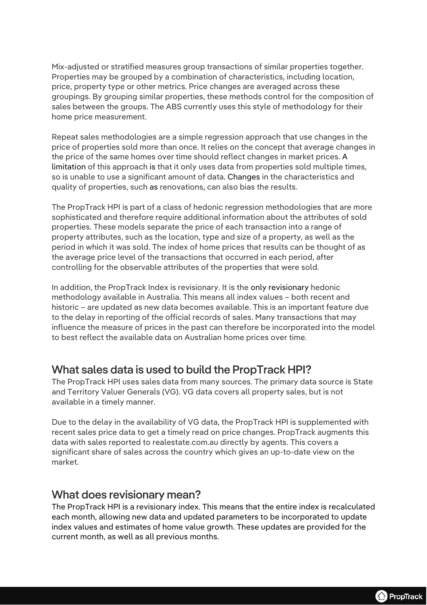Mix-adjusted or stratified measures group transactions of similar properties together. Properties may be grouped by a combination of characteristics, including location, price, property type or other metrics. Price changes are averaged across these groupings. By grouping similar properties, these methods control for the composition of sales between the groups. The ABS currently uses this style of methodology for their home price measurement.

Repeat sales methodologies are a simple regression approach that use changes in the price of properties sold more than once. It relies on the concept that average changes in the price of the same homes over time should reflect changes in market prices. A limitation of this approach is that it only uses data from properties sold multiple times, so is unable to use a significant amount of data. Changes in the characteristics and quality of properties, such as renovations, can also bias the results.

The PropTrack HPI is part of a class of hedonic regression methodologies that are more sophisticated and therefore require additional information about the attributes of sold properties. These models separate the price of each transaction into a range of property attributes, such as the location, type and size of a property, as well as the period in which it was sold. The index of home prices that results can be thought of as the average price level of the transactions that occurred in each period, after controlling for the observable attributes of the properties that were sold.

In addition, the PropTrack Index is revisionary. It is the only revisionary hedonic methodology available in Australia. This means all index values – both recent and historic – are updated as new data becomes available. This is an important feature due to the delay in reporting of the official records of sales. Many transactions that may influence the measure of prices in the past can therefore be incorporated into the model to best reflect the available data on Australian home prices over time.

## What sales data is used to build the PropTrack HPI?

The PropTrack HPI uses sales data from many sources. The primary data source is State and Territory Valuer Generals (VG). VG data covers all property sales, but is not available in a timely manner.

Due to the delay in the availability of VG data, the PropTrack HPI is supplemented with recent sales price data to get a timely read on price changes. PropTrack augments this data with sales reported to realestate.com.au directly by agents. This covers a significant share of sales across the country which gives an up-to-date view on the market.

## What does revisionary mean?

The PropTrack HPI is a revisionary index. This means that the entire index is recalculated each month, allowing new data and updated parameters to be incorporated to update index values and estimates of home value growth. These updates are provided for the current month, as well as all previous months.

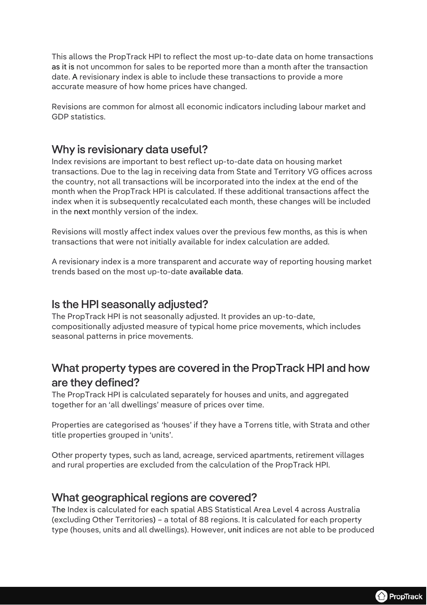This allows the PropTrack HPI to reflect the most up-to-date data on home transactions as it is not uncommon for sales to be reported more than a month after the transaction date. A revisionary index is able to include these transactions to provide a more accurate measure of how home prices have changed.

Revisions are common for almost all economic indicators including labour market and GDP statistics.

#### Why is revisionary data useful?

Index revisions are important to best reflect up-to-date data on housing market transactions. Due to the lag in receiving data from State and Territory VG offices across the country, not all transactions will be incorporated into the index at the end of the month when the PropTrack HPI is calculated. If these additional transactions affect the index when it is subsequently recalculated each month, these changes will be included in the next monthly version of the index.

Revisions will mostly affect index values over the previous few months, as this is when transactions that were not initially available for index calculation are added.

A revisionary index is a more transparent and accurate way of reporting housing market trends based on the most up-to-date available data.

#### Is the HPI seasonally adjusted?

The PropTrack HPI is not seasonally adjusted. It provides an up-to-date, compositionally adjusted measure of typical home price movements, which includes seasonal patterns in price movements.

# What property types are covered in the PropTrack HPI and how are they defined?

The PropTrack HPI is calculated separately for houses and units, and aggregated together for an 'all dwellings' measure of prices over time.

Properties are categorised as 'houses' if they have a Torrens title, with Strata and other title properties grouped in 'units'.

Other property types, such as land, acreage, serviced apartments, retirement villages and rural properties are excluded from the calculation of the PropTrack HPI.

#### What geographical regions are covered?

The Index is calculated for each spatial ABS Statistical Area Level 4 across Australia (excluding Other Territories) – a total of 88 regions. It is calculated for each property type (houses, units and all dwellings). However, unit indices are not able to be produced